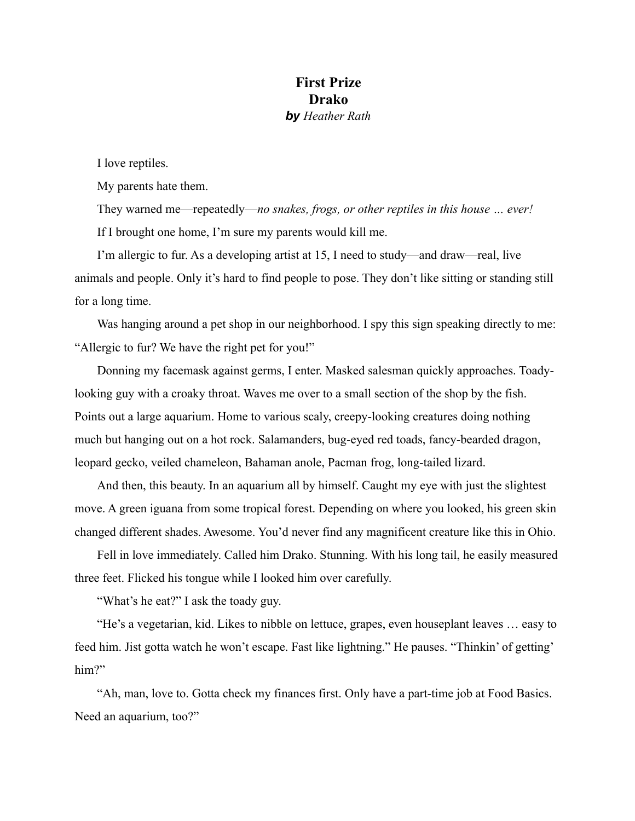## **First Prize Drako**  *by Heather Rath*

I love reptiles.

My parents hate them.

They warned me—repeatedly—*no snakes, frogs, or other reptiles in this house … ever!*  If I brought one home, I'm sure my parents would kill me.

I'm allergic to fur. As a developing artist at 15, I need to study—and draw—real, live animals and people. Only it's hard to find people to pose. They don't like sitting or standing still for a long time.

Was hanging around a pet shop in our neighborhood. I spy this sign speaking directly to me: "Allergic to fur? We have the right pet for you!"

Donning my facemask against germs, I enter. Masked salesman quickly approaches. Toadylooking guy with a croaky throat. Waves me over to a small section of the shop by the fish. Points out a large aquarium. Home to various scaly, creepy-looking creatures doing nothing much but hanging out on a hot rock. Salamanders, bug-eyed red toads, fancy-bearded dragon, leopard gecko, veiled chameleon, Bahaman anole, Pacman frog, long-tailed lizard.

And then, this beauty. In an aquarium all by himself. Caught my eye with just the slightest move. A green iguana from some tropical forest. Depending on where you looked, his green skin changed different shades. Awesome. You'd never find any magnificent creature like this in Ohio.

Fell in love immediately. Called him Drako. Stunning. With his long tail, he easily measured three feet. Flicked his tongue while I looked him over carefully.

"What's he eat?" I ask the toady guy.

"He's a vegetarian, kid. Likes to nibble on lettuce, grapes, even houseplant leaves … easy to feed him. Jist gotta watch he won't escape. Fast like lightning." He pauses. "Thinkin' of getting' him?"

"Ah, man, love to. Gotta check my finances first. Only have a part-time job at Food Basics. Need an aquarium, too?"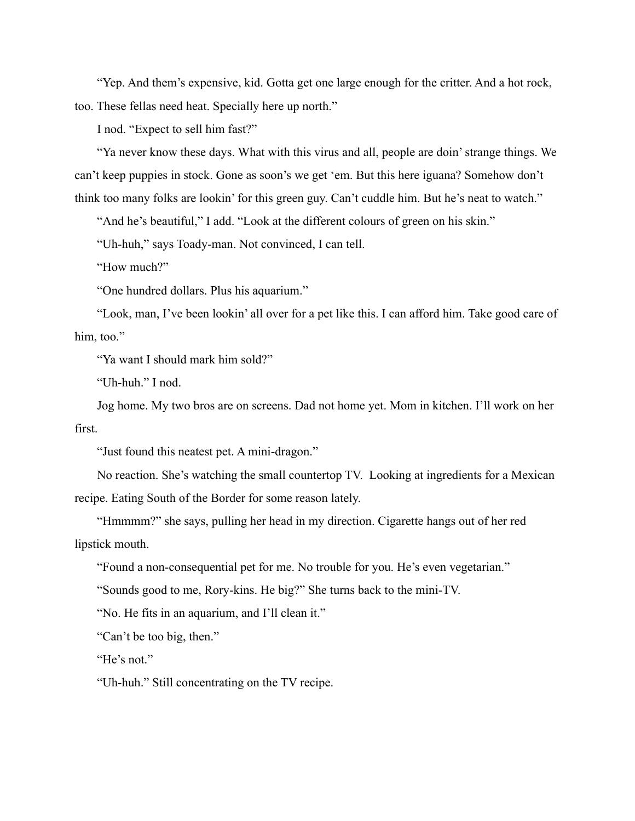"Yep. And them's expensive, kid. Gotta get one large enough for the critter. And a hot rock, too. These fellas need heat. Specially here up north."

I nod. "Expect to sell him fast?"

"Ya never know these days. What with this virus and all, people are doin' strange things. We can't keep puppies in stock. Gone as soon's we get 'em. But this here iguana? Somehow don't think too many folks are lookin' for this green guy. Can't cuddle him. But he's neat to watch."

"And he's beautiful," I add. "Look at the different colours of green on his skin."

"Uh-huh," says Toady-man. Not convinced, I can tell.

"How much?"

"One hundred dollars. Plus his aquarium."

"Look, man, I've been lookin' all over for a pet like this. I can afford him. Take good care of him, too."

"Ya want I should mark him sold?"

"Uh-huh." I nod.

Jog home. My two bros are on screens. Dad not home yet. Mom in kitchen. I'll work on her first.

"Just found this neatest pet. A mini-dragon."

No reaction. She's watching the small countertop TV. Looking at ingredients for a Mexican recipe. Eating South of the Border for some reason lately.

"Hmmmm?" she says, pulling her head in my direction. Cigarette hangs out of her red lipstick mouth.

"Found a non-consequential pet for me. No trouble for you. He's even vegetarian."

"Sounds good to me, Rory-kins. He big?" She turns back to the mini-TV.

"No. He fits in an aquarium, and I'll clean it."

"Can't be too big, then."

"He's not."

"Uh-huh." Still concentrating on the TV recipe.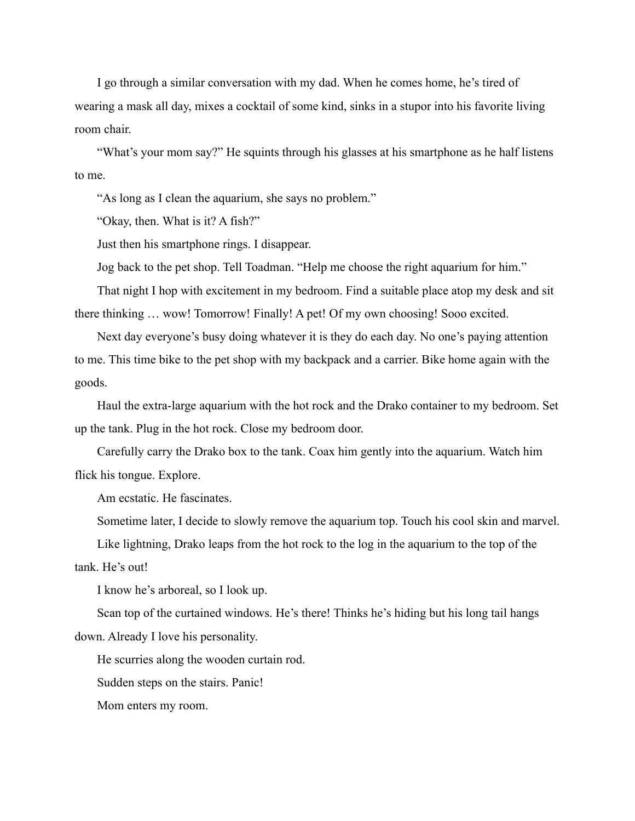I go through a similar conversation with my dad. When he comes home, he's tired of wearing a mask all day, mixes a cocktail of some kind, sinks in a stupor into his favorite living room chair.

"What's your mom say?" He squints through his glasses at his smartphone as he half listens to me.

"As long as I clean the aquarium, she says no problem."

"Okay, then. What is it? A fish?"

Just then his smartphone rings. I disappear.

Jog back to the pet shop. Tell Toadman. "Help me choose the right aquarium for him."

That night I hop with excitement in my bedroom. Find a suitable place atop my desk and sit there thinking … wow! Tomorrow! Finally! A pet! Of my own choosing! Sooo excited.

Next day everyone's busy doing whatever it is they do each day. No one's paying attention to me. This time bike to the pet shop with my backpack and a carrier. Bike home again with the goods.

Haul the extra-large aquarium with the hot rock and the Drako container to my bedroom. Set up the tank. Plug in the hot rock. Close my bedroom door.

Carefully carry the Drako box to the tank. Coax him gently into the aquarium. Watch him flick his tongue. Explore.

Am ecstatic. He fascinates.

Sometime later, I decide to slowly remove the aquarium top. Touch his cool skin and marvel.

Like lightning, Drako leaps from the hot rock to the log in the aquarium to the top of the

tank. He's out!

I know he's arboreal, so I look up.

Scan top of the curtained windows. He's there! Thinks he's hiding but his long tail hangs down. Already I love his personality.

He scurries along the wooden curtain rod.

Sudden steps on the stairs. Panic!

Mom enters my room.